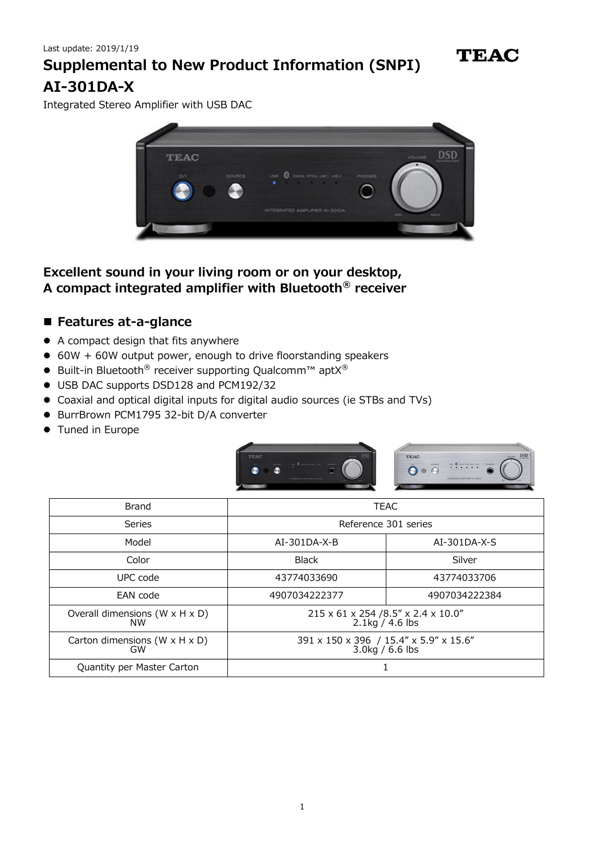**TEAC** 

Integrated Stereo Amplifier with USB DAC



**Excellent sound in your living room or on your desktop, A compact integrated amplifier with Bluetooth® receiver**

### **Features at-a-glance**

- A compact design that fits anywhere
- 60W + 60W output power, enough to drive floorstanding speakers
- Built-in Bluetooth<sup>®</sup> receiver supporting Qualcomm™ aptX<sup>®</sup>
- USB DAC supports DSD128 and PCM192/32
- Coaxial and optical digital inputs for digital audio sources (ie STBs and TVs)
- BurrBrown PCM1795 32-bit D/A converter
- **•** Tuned in Europe



| Brand                                                   | <b>TEAC</b>                                                  |                |
|---------------------------------------------------------|--------------------------------------------------------------|----------------|
| Series                                                  | Reference 301 series                                         |                |
| Model                                                   | $AI-301DA-X-B$                                               | $AI-301DA-X-S$ |
| Color                                                   | <b>Black</b>                                                 | Silver         |
| UPC code                                                | 43774033690                                                  | 43774033706    |
| EAN code                                                | 4907034222377                                                | 4907034222384  |
| Overall dimensions $(W \times H \times D)$<br><b>NW</b> | 215 x 61 x 254 /8.5" x 2.4 x 10.0"<br>$2.1\text{kg}/4.6$ lbs |                |
| Carton dimensions ( $W \times H \times D$ )<br>GW       | 391 x 150 x 396 / 15.4" x 5.9" x 15.6"<br>3.0kg / 6.6 lbs    |                |
| Quantity per Master Carton                              |                                                              |                |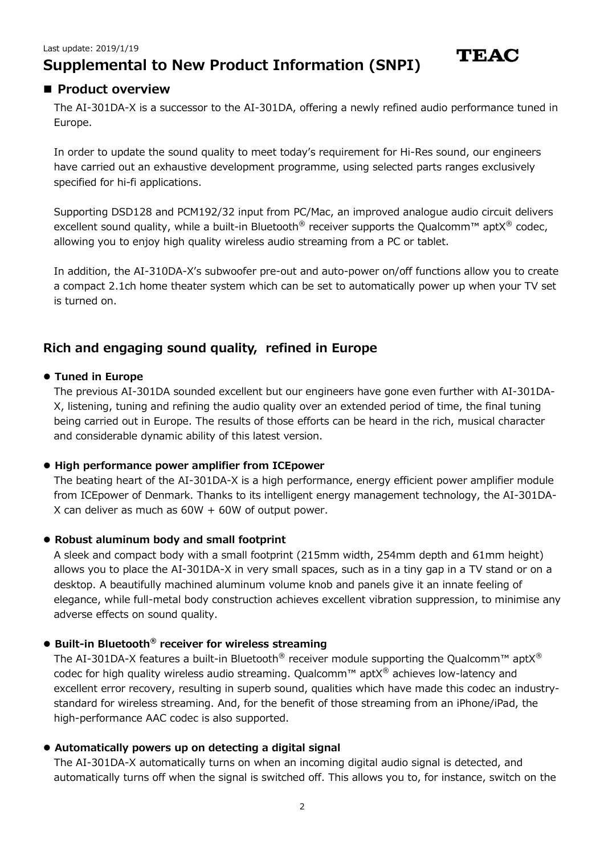## **Product overview**

The AI-301DA-X is a successor to the AI-301DA, offering a newly refined audio performance tuned in Europe.

**TEAC** 

In order to update the sound quality to meet today's requirement for Hi-Res sound, our engineers have carried out an exhaustive development programme, using selected parts ranges exclusively specified for hi-fi applications.

Supporting DSD128 and PCM192/32 input from PC/Mac, an improved analogue audio circuit delivers excellent sound quality, while a built-in Bluetooth<sup>®</sup> receiver supports the Qualcomm<sup>™</sup> aptX<sup>®</sup> codec, allowing you to enjoy high quality wireless audio streaming from a PC or tablet.

In addition, the AI-310DA-X's subwoofer pre-out and auto-power on/off functions allow you to create a compact 2.1ch home theater system which can be set to automatically power up when your TV set is turned on.

## **Rich and engaging sound quality, refined in Europe**

#### **Tuned in Europe**

The previous AI-301DA sounded excellent but our engineers have gone even further with AI-301DA-X, listening, tuning and refining the audio quality over an extended period of time, the final tuning being carried out in Europe. The results of those efforts can be heard in the rich, musical character and considerable dynamic ability of this latest version.

#### **High performance power amplifier from ICEpower**

The beating heart of the AI-301DA-X is a high performance, energy efficient power amplifier module from ICEpower of Denmark. Thanks to its intelligent energy management technology, the AI-301DA-X can deliver as much as  $60W + 60W$  of output power.

#### **Robust aluminum body and small footprint**

A sleek and compact body with a small footprint (215mm width, 254mm depth and 61mm height) allows you to place the AI-301DA-X in very small spaces, such as in a tiny gap in a TV stand or on a desktop. A beautifully machined aluminum volume knob and panels give it an innate feeling of elegance, while full-metal body construction achieves excellent vibration suppression, to minimise any adverse effects on sound quality.

#### **Built-in Bluetooth® receiver for wireless streaming**

The AI-301DA-X features a built-in Bluetooth<sup>®</sup> receiver module supporting the Qualcomm<sup>™</sup> aptX<sup>®</sup> codec for high quality wireless audio streaming. Qualcomm™ apt $X^{\circledast}$  achieves low-latency and excellent error recovery, resulting in superb sound, qualities which have made this codec an industrystandard for wireless streaming. And, for the benefit of those streaming from an iPhone/iPad, the high-performance AAC codec is also supported.

#### **Automatically powers up on detecting a digital signal**

The AI-301DA-X automatically turns on when an incoming digital audio signal is detected, and automatically turns off when the signal is switched off. This allows you to, for instance, switch on the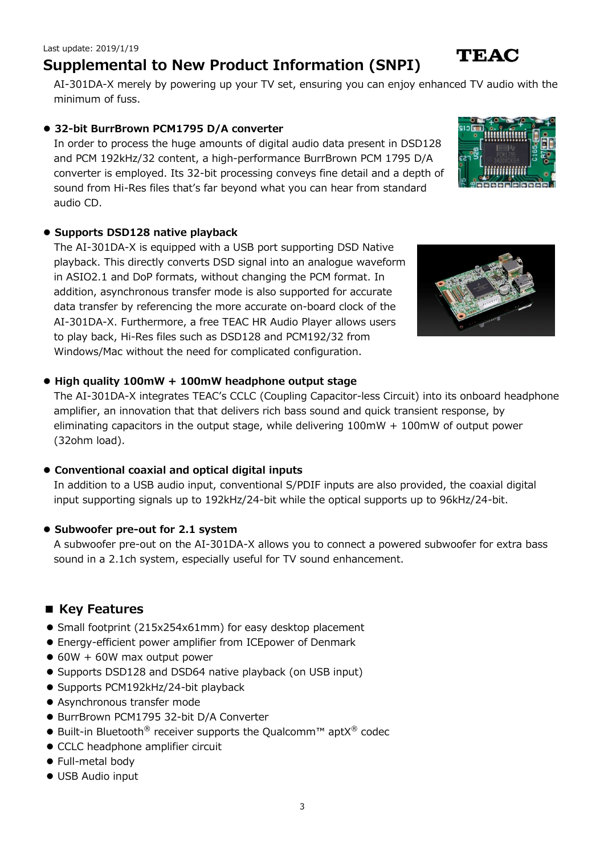#### Last update: 2019/1/19

## **Supplemental to New Product Information (SNPI)**

AI-301DA-X merely by powering up your TV set, ensuring you can enjoy enhanced TV audio with the minimum of fuss.

### **32-bit BurrBrown PCM1795 D/A converter**

In order to process the huge amounts of digital audio data present in DSD128 and PCM 192kHz/32 content, a high-performance BurrBrown PCM 1795 D/A converter is employed. Its 32-bit processing conveys fine detail and a depth of sound from Hi-Res files that's far beyond what you can hear from standard audio CD.

### **Supports DSD128 native playback**

The AI-301DA-X is equipped with a USB port supporting DSD Native playback. This directly converts DSD signal into an analogue waveform in ASIO2.1 and DoP formats, without changing the PCM format. In addition, asynchronous transfer mode is also supported for accurate data transfer by referencing the more accurate on-board clock of the AI-301DA-X. Furthermore, a free TEAC HR Audio Player allows users to play back, Hi-Res files such as DSD128 and PCM192/32 from Windows/Mac without the need for complicated configuration.

## **High quality 100mW + 100mW headphone output stage**

The AI-301DA-X integrates TEAC's CCLC (Coupling Capacitor-less Circuit) into its onboard headphone amplifier, an innovation that that delivers rich bass sound and quick transient response, by eliminating capacitors in the output stage, while delivering  $100mW + 100mW$  of output power (32ohm load).

## **Conventional coaxial and optical digital inputs**

In addition to a USB audio input, conventional S/PDIF inputs are also provided, the coaxial digital input supporting signals up to 192kHz/24-bit while the optical supports up to 96kHz/24-bit.

### **Subwoofer pre-out for 2.1 system**

A subwoofer pre-out on the AI-301DA-X allows you to connect a powered subwoofer for extra bass sound in a 2.1ch system, especially useful for TV sound enhancement.

## **■ Key Features**

- Small footprint (215x254x61mm) for easy desktop placement
- Energy-efficient power amplifier from ICEpower of Denmark
- $\bullet$  60W + 60W max output power
- Supports DSD128 and DSD64 native playback (on USB input)
- Supports PCM192kHz/24-bit playback
- Asynchronous transfer mode
- BurrBrown PCM1795 32-bit D/A Converter
- $\bullet$  Built-in Bluetooth<sup>®</sup> receiver supports the Qualcomm<sup>™</sup> aptX<sup>®</sup> codec
- CCLC headphone amplifier circuit
- Full-metal body
- USB Audio input





# TEAC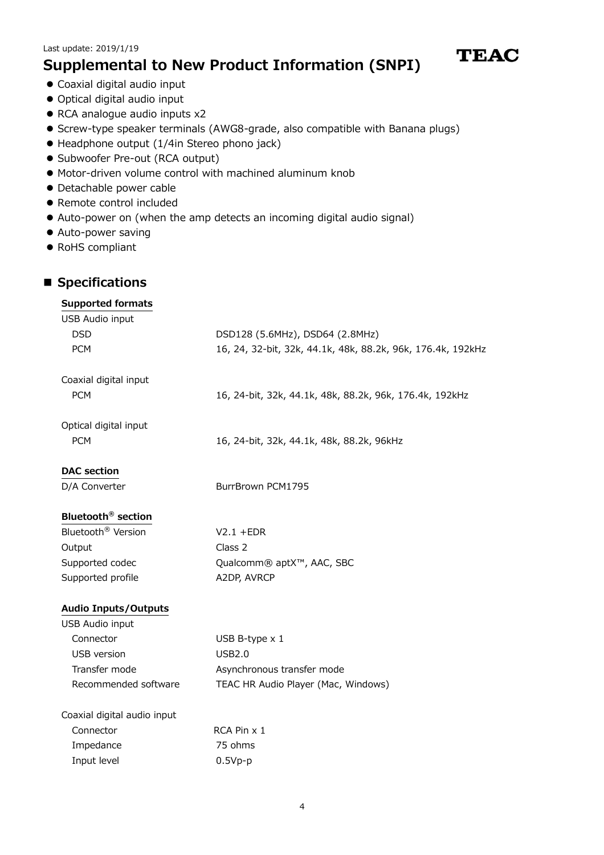- Coaxial digital audio input
- Optical digital audio input
- RCA analogue audio inputs x2
- **S** Screw-type speaker terminals (AWG8-grade, also compatible with Banana plugs)

**TEAC** 

- Headphone output (1/4in Stereo phono jack)
- Subwoofer Pre-out (RCA output)
- Motor-driven volume control with machined aluminum knob
- Detachable power cable
- Remote control included
- Auto-power on (when the amp detects an incoming digital audio signal)
- Auto-power saving
- RoHS compliant

### ■ Specifications

## **Supported formats** USB Audio input DSD DSD128 (5.6MHz), DSD64 (2.8MHz) PCM 16, 24, 32-bit, 32k, 44.1k, 48k, 88.2k, 96k, 176.4k, 192kHz Coaxial digital input PCM 16, 24-bit, 32k, 44.1k, 48k, 88.2k, 96k, 176.4k, 192kHz Optical digital input PCM 16, 24-bit, 32k, 44.1k, 48k, 88.2k, 96kHz **DAC section** D/A Converter BurrBrown PCM1795 **Bluetooth® section** Bluetooth<sup>®</sup> Version V2.1 +EDR Output Class 2 Supported codec Qualcomm® aptX™, AAC, SBC Supported profile A2DP, AVRCP

#### **Audio Inputs/Outputs**

USB Audio input

| Connector            | USB B-type $\times$ 1               |
|----------------------|-------------------------------------|
| USB version          | USB2.0                              |
| Transfer mode        | Asynchronous transfer mode          |
| Recommended software | TEAC HR Audio Player (Mac, Windows) |
|                      |                                     |

| Coaxial digital audio input |             |  |
|-----------------------------|-------------|--|
| Connector                   | RCA Pin x 1 |  |
| Impedance                   | 75 ohms     |  |
| Input level                 | $0.5Vp-p$   |  |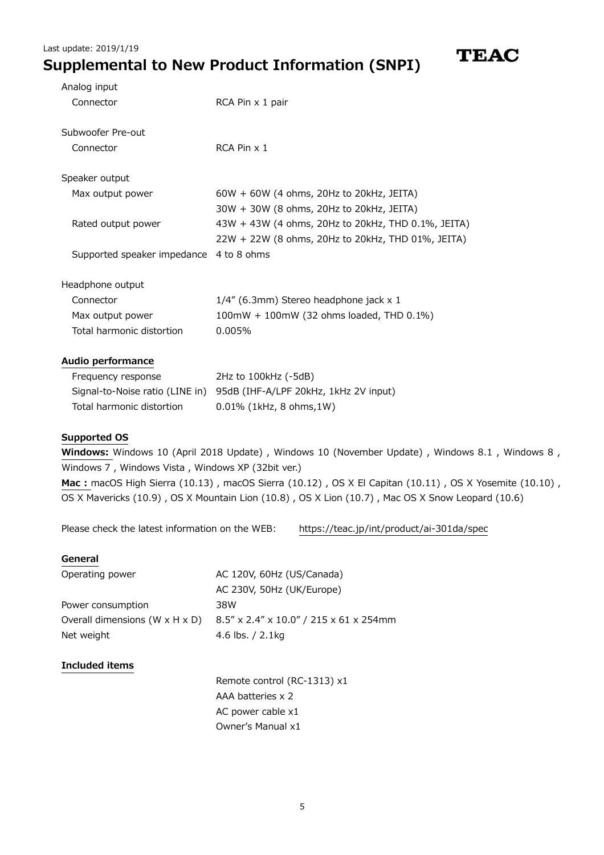| Analog input                            |                                                    |
|-----------------------------------------|----------------------------------------------------|
| Connector                               | RCA Pin x 1 pair                                   |
| Subwoofer Pre-out                       |                                                    |
| Connector                               | RCA Pin x 1                                        |
| Speaker output                          |                                                    |
| Max output power                        | 60W + 60W (4 ohms, 20Hz to 20kHz, JEITA)           |
|                                         | 30W + 30W (8 ohms, 20Hz to 20kHz, JEITA)           |
| Rated output power                      | 43W + 43W (4 ohms, 20Hz to 20kHz, THD 0.1%, JEITA) |
|                                         | 22W + 22W (8 ohms, 20Hz to 20kHz, THD 01%, JEITA)  |
| Supported speaker impedance 4 to 8 ohms |                                                    |
| Headphone output                        |                                                    |
| Connector                               | 1/4" (6.3mm) Stereo headphone jack x 1             |
| Max output power                        | 100mW + 100mW (32 ohms loaded, THD 0.1%)           |
| Total harmonic distortion               | 0.005%                                             |
| Audio performance                       |                                                    |
| Frequency response                      | 2Hz to 100kHz (-5dB)                               |
| Signal-to-Noise ratio (LINE in)         | 95dB (IHF-A/LPF 20kHz, 1kHz 2V input)              |
| Total harmonic distortion               | 0.01% (1kHz, 8 ohms, 1W)                           |

**TEAC** 

#### **Supported OS**

**Windows:** Windows 10 (April 2018 Update) , Windows 10 (November Update) , Windows 8.1 , Windows 8 , Windows 7 , Windows Vista , Windows XP (32bit ver.) **Mac :** macOS High Sierra (10.13) , macOS Sierra (10.12) , OS X El Capitan (10.11) , OS X Yosemite (10.10) , OS X Mavericks (10.9) , OS X Mountain Lion (10.8) , OS X Lion (10.7) , Mac OS X Snow Leopard (10.6)

Please check the latest information on the WEB: <https://teac.jp/int/product/ai-301da/spec>

#### **General**

| Operating power                            | AC 120V, 60Hz (US/Canada)              |
|--------------------------------------------|----------------------------------------|
|                                            | AC 230V, 50Hz (UK/Europe)              |
| Power consumption                          | 38W                                    |
| Overall dimensions $(W \times H \times D)$ | 8.5" x 2.4" x 10.0" / 215 x 61 x 254mm |
| Net weight                                 | 4.6 lbs. $/ 2.1$ kg                    |
|                                            |                                        |

#### **Included items**

Remote control (RC-1313) x1 AAA batteries x 2 AC power cable x1 Owner's Manual x1